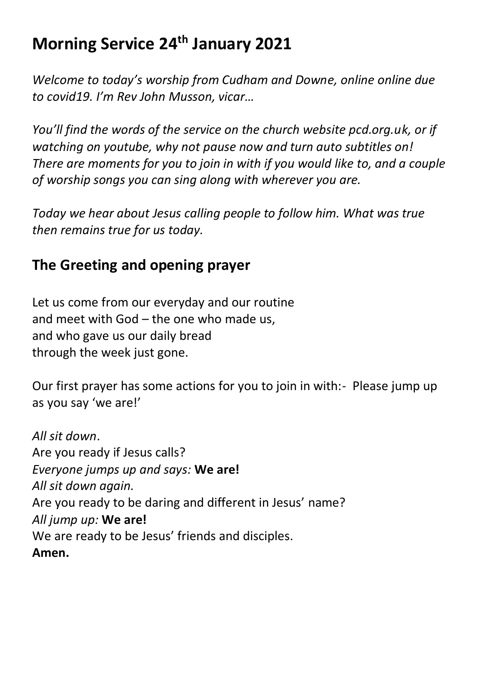# **Morning Service 24th January 2021**

*Welcome to today's worship from Cudham and Downe, online online due to covid19. I'm Rev John Musson, vicar…*

*You'll find the words of the service on the church website pcd.org.uk, or if watching on youtube, why not pause now and turn auto subtitles on! There are moments for you to join in with if you would like to, and a couple of worship songs you can sing along with wherever you are.*

*Today we hear about Jesus calling people to follow him. What was true then remains true for us today.*

### **The Greeting and opening prayer**

Let us come from our everyday and our routine and meet with God – the one who made us, and who gave us our daily bread through the week just gone.

Our first prayer has some actions for you to join in with:- Please jump up as you say 'we are!'

*All sit down*. Are you ready if Jesus calls? *Everyone jumps up and says:* **We are!** *All sit down again.* Are you ready to be daring and different in Jesus' name? *All jump up:* **We are!** We are ready to be Jesus' friends and disciples. **Amen.**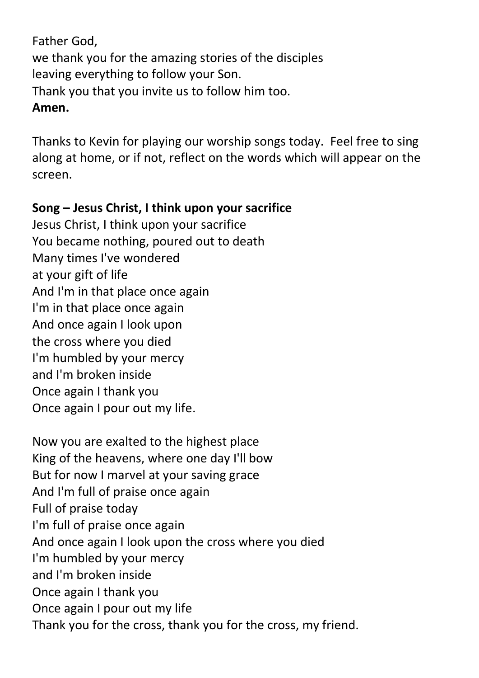Father God, we thank you for the amazing stories of the disciples leaving everything to follow your Son. Thank you that you invite us to follow him too. **Amen.**

Thanks to Kevin for playing our worship songs today. Feel free to sing along at home, or if not, reflect on the words which will appear on the screen.

### **Song – Jesus Christ, I think upon your sacrifice**

Jesus Christ, I think upon your sacrifice You became nothing, poured out to death Many times I've wondered at your gift of life And I'm in that place once again I'm in that place once again And once again I look upon the cross where you died I'm humbled by your mercy and I'm broken inside Once again I thank you Once again I pour out my life.

Now you are exalted to the highest place King of the heavens, where one day I'll bow But for now I marvel at your saving grace And I'm full of praise once again Full of praise today I'm full of praise once again And once again I look upon the cross where you died I'm humbled by your mercy and I'm broken inside Once again I thank you Once again I pour out my life Thank you for the cross, thank you for the cross, my friend.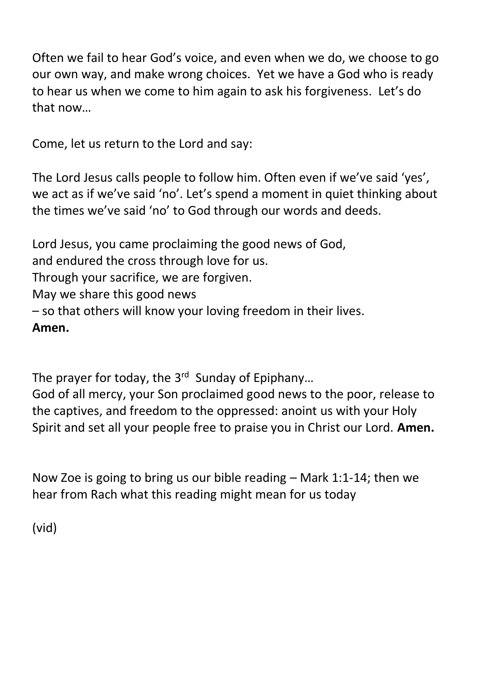Often we fail to hear God's voice, and even when we do, we choose to go our own way, and make wrong choices. Yet we have a God who is ready to hear us when we come to him again to ask his forgiveness. Let's do that now…

Come, let us return to the Lord and say:

The Lord Jesus calls people to follow him. Often even if we've said 'yes', we act as if we've said 'no'. Let's spend a moment in quiet thinking about the times we've said 'no' to God through our words and deeds.

Lord Jesus, you came proclaiming the good news of God, and endured the cross through love for us. Through your sacrifice, we are forgiven. May we share this good news – so that others will know your loving freedom in their lives. **Amen.**

The prayer for today, the 3<sup>rd</sup> Sunday of Epiphany...

God of all mercy, your Son proclaimed good news to the poor, release to the captives, and freedom to the oppressed: anoint us with your Holy Spirit and set all your people free to praise you in Christ our Lord. **Amen.**

Now Zoe is going to bring us our bible reading – Mark 1:1-14; then we hear from Rach what this reading might mean for us today

(vid)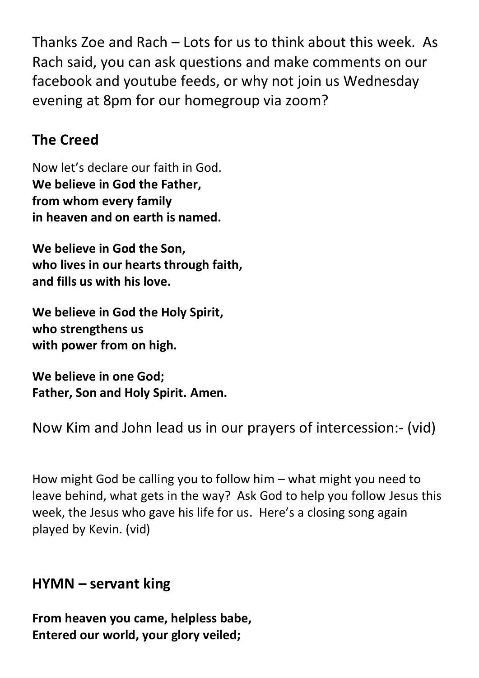Thanks Zoe and Rach – Lots for us to think about this week. As Rach said, you can ask questions and make comments on our facebook and youtube feeds, or why not join us Wednesday evening at 8pm for our homegroup via zoom?

# **The Creed**

Now let's declare our faith in God. **We believe in God the Father, from whom every family in heaven and on earth is named.**

**We believe in God the Son, who lives in our hearts through faith, and fills us with his love.**

**We believe in God the Holy Spirit, who strengthens us with power from on high.**

**We believe in one God; Father, Son and Holy Spirit. Amen.**

Now Kim and John lead us in our prayers of intercession:- (vid)

How might God be calling you to follow him – what might you need to leave behind, what gets in the way? Ask God to help you follow Jesus this week, the Jesus who gave his life for us. Here's a closing song again played by Kevin. (vid)

## **HYMN – servant king**

**From heaven you came, helpless babe, Entered our world, your glory veiled;**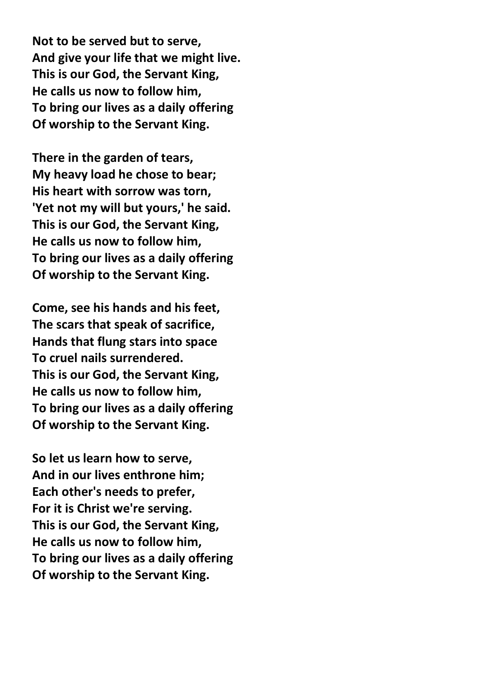**Not to be served but to serve, And give your life that we might live. This is our God, the Servant King, He calls us now to follow him, To bring our lives as a daily offering Of worship to the Servant King.**

**There in the garden of tears, My heavy load he chose to bear; His heart with sorrow was torn, 'Yet not my will but yours,' he said. This is our God, the Servant King, He calls us now to follow him, To bring our lives as a daily offering Of worship to the Servant King.**

**Come, see his hands and his feet, The scars that speak of sacrifice, Hands that flung stars into space To cruel nails surrendered. This is our God, the Servant King, He calls us now to follow him, To bring our lives as a daily offering Of worship to the Servant King.**

**So let us learn how to serve, And in our lives enthrone him; Each other's needs to prefer, For it is Christ we're serving. This is our God, the Servant King, He calls us now to follow him, To bring our lives as a daily offering Of worship to the Servant King.**